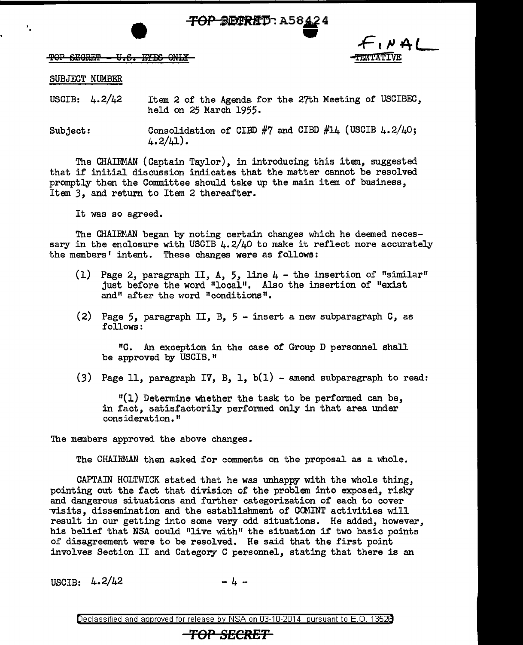<del>TOP BECRIT</del>: A58424



TOP SEGRET - U.S. EYES ONLY

#### SUBJECT NUMBER

' .

USCIB:  $4.2/42$  Item 2 of the Agenda for the 27th Meeting of USCIBEC. held on 25 March 1955.

Subject: Consolidation of CIBD  $#7$  and CIBD  $#14$  (USCIB  $4.2/40$ ;  $4.2/L1$ ).

The CHAIRMAN (Captain Taylor), in introducing this item, suggested that if initial discussion indicates that the matter cannot be resolved promptly then the Committee should take up the main item of business. Item 3, and return to Item 2 thereafter.

It was so agreed.

The CHAIRMAN began by noting certain changes which he deemed necessary in the enclosure with USCIB  $\mu$ .2/ $\mu$ O to make it reflect more accurately the members' intent. These changes were as follows:

- (1) Page 2, paragraph II, A, 5, line 4 the insertion of "similar" just before the word "local". Also the insertion of "exist and" after the word "conditions".
- (2) Page 5, paragraph II, B,  $5 -$  insert a new subparagraph  $C$ , as follows:

<sup>11</sup>0. An exception in the case of Group D personnel shall be approved by USCIB."

(3) Page 11, paragraph IV, B, 1,  $b(1)$  - amend subparagraph to read:

 $"(1)$  Determine whether the task to be performed can be. in fact, satisfactorily performed only in that area under consideration."

The members approved the above changes.

The CHAIRMAN then asked for comments on the proposal as a whole.

CAPTAIN HOLTWICK stated that he was unhappy with the whole thing, pointing out the fact that division of the problem into exposed, risky and dangerous situations and further categorization of each to cover -visits, dissemination and the establishment of CCMINT activities will result in our getting into some very odd situations. He added, however, his belief that NSA could "live with" the situation if two basic points of disagreement were to be resolved. He said that the first point involves Section II and Category C personnel, stating that there is an

USCIB:  $4.2/42$  - 4 -

Declassified and approved for release by NSA on 03-10-2014 pursuant to E. 0. 1352B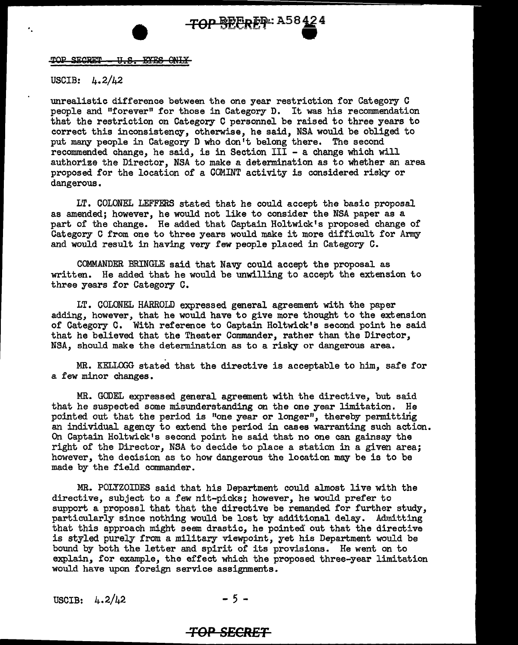TOP SECRET - U.S. EYES ONLY

#### USCIB: 4.2/42

unrealistic difference between the one year restriction for Category C people and "forever" for those in Category D. It was his recommendation that the restriction on Category C personnel be raised to three years to correct this inconsistency, otherwise, he said, NSA would be obliged to put many people in Category D who don't belong there. The second recommended change, he said, is in Section III - a change which will authorize the Director, NSA to make a determination as to whether an area proposed for the location of a COMINT activity is considered risky or dangerous.

LT. COLONEL LEFFERS stated that he could accept the basic proposal as amended; however, he would not like to consider the NSA paper as a part of the change. He added that Captain Holtwick's proposed change of Category C from one to three years would make it more difficult for Army and would result in having very few people placed in Category C.

COMMANDER BRINGLE said that Navy could accept the proposal as written. He added that he would be unwilling to accept the extension to three years for Category C.

LT. COLONEL HARROLD expressed general agreement with the paper adding, however, that he would have to give more thought to the extension of Category C. With reference to Captain Holtwick's second point he said that he believed that the Theater Commander, rather than the Director, NSA, should make the determination as to a risky or dangerous area.

MR. KELLOGG stated that the directive is acceptable to him, safe for a few minor changes.

MR. GODEL expressed general agreement with the directive, but said that he suspected some misunderstanding on the one year limitation. He pointed out that the period is "one year or longer", thereby permitting an individual agency to extend the period in cases warranting such action. On Captain Holtwick's second point he said that no one can gainsay the right of the Director, NSA to decide to place a station in a given area; however, the decision as to how dangerous the location may be is to be made by the field commander.

MR. POLYZOIDES said that his Department could almost live with the directive, subject to a few nit-picks; however, he would prefer to support a proposal that that the directive be remanded for further study, particularly since nothing would be lost by additional delay. Admitting that this approach might seem drastic, he pointed out that the directive is styled purely from a military viewpoint, yet his Department would be bound by both the letter and spirit of its provisions. He went on to explain, for example, the effect which the proposed three-year limitation would have upon foreign service assignments.

USCIB:  $4.2/\mu$ 2 - 5 -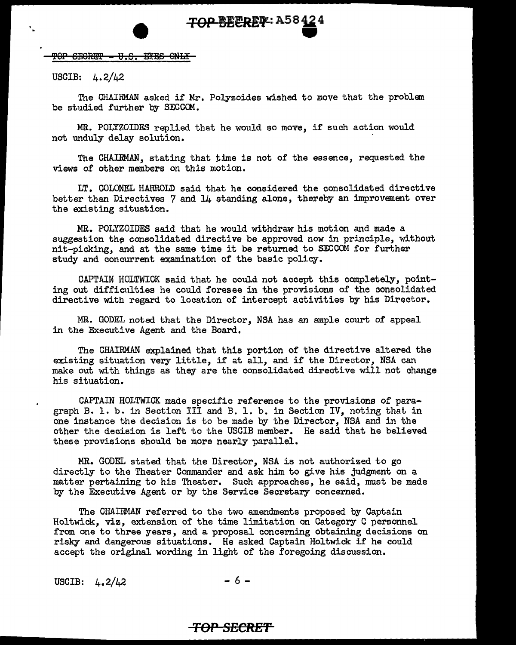TOP SECRET - U.S. EYES ONLY

USCIB:  $4.2/42$ 

The CHAIRMAN asked if Mr. Polyzoides wished to move that the problem be studied further by SECCOM.

MR. POLYZOIDES replied that he would so move, if such action would not unduly delay solution.

The CHAIRMAN, stating that time is not of the essence, requested the views of other members on this motion.

LT. COLONEL HARROLD said that he considered the consolidated directive better than Directives 7 and 14 standing alone, thereby an improvement over the existing situation.

MR. POLYZOIDES said that he would withdraw his motion and made a suggestion the consolidated directive be approved now in principle, without nit-picking, and at the same time it be returned to SECCOM for further study and concurrent examination of the basic policy.

CAPTAIN HOLTWICK said that he could not accept this completely, pointing out difficulties he could foresee in the provisions of the consolidated directive with regard to location of intercept activities by his Director.

MR. GODEL noted that the Director, NSA has an ample court of appeal in the Executive Agent and the Board.

The CHAIRMAN explained that this portion of the directive altered the existing situation very little, if at all, and if the Director, NSA can make out with things as they are the consolidated directive will not change his situation.

CAPTAIN HOLTWICK made specific reference to the provisions of paragraph B. 1. b. in Section III and B. 1. b. in Section IV, noting that in one instance the decision is to be made by the Director, NSA and in the other the decision is left to the USCIB member. He said that he believed these provisions should be more nearly parallel.

MR. GODEL stated that the Director, NSA is not authorized to go directly to the Theater Conunander and ask him to give his judgment on a matter pertaining to his Theater. Such approaches, he said, must be made by the Executive Agent or by the Service Secretary concerned.

The CHAIRMAN referred to the two amendments proposed by Captain Holtwick, viz, extension of the time limitation on Category C personnel from one to three years, and a proposal concerning obtaining decisions on risky and dangerous situations. He asked Captain Holtwick if he could accept the original wording in light of the foregoing discussion.

USCIB:  $4.2/42$  - 6 -

## **TOP SECRE'f**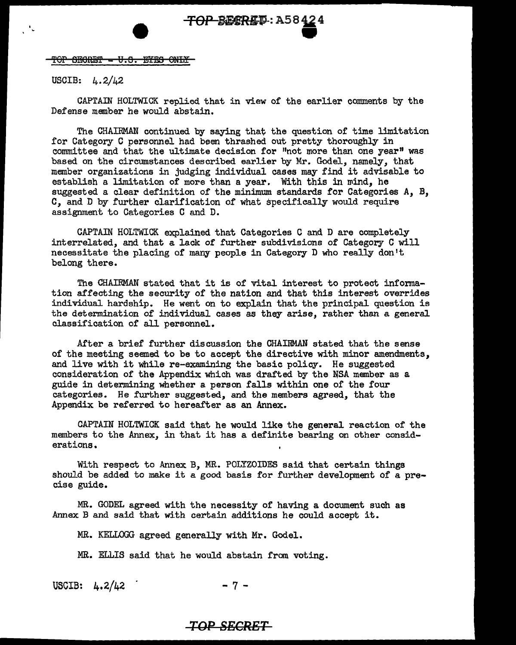'f OP ffii.i0i1:E'f = *t1.* 9. EYES OULY

USCIB: 4.2/42

CAPTAIN HOLTWICK replied that in view of the earlier comments by the Defense member he would abstain.

The CHAIBMAN continued by saying that the question of time limitation for Category C personnel had been thrashed out pretty thoroughly in committee and that the ultimate decision for "not more than one year" was based on the circumstances described earlier by Mr. Godel, namely, that member organizations in judging individual cases may find it advisable to establish a limitation of more than a year. With this in mind, he suggested a clear definition of the minimum standards for Categories A, B, C, and D by further clarification of what specifically would require assignment to Categories C and D.

CAPTAIN HOLTWICK explained that Categories C and D are completely interrelated, and that a lack of further subdivisions of Category C will necessitate the placing of many people in Category D who really don 1t belong there.

The CHAIRMAN stated that it is of vital interest to protect information affecting the security of the nation and that this interest overrides individual hardship. He went on to explain that the principal question is the determination of individual cases as they arise, rather than a general classification of all personnel.

After a brief further discussion the CHAIRMAN stated that the sense of the meeting seemed to be to accept the directive with minor amendments, and live with it while re-examining the basic policy. He suggested consideration of the Appendix which was drafted by the NSA member as a guide in determining whether a person falls within one of the four categories. He further suggested, and the members agreed, that the Appendix be referred to hereafter as an Annex.

CAPTAIN HOLTWICK said that he would like the general reaction of the members to the Annex, in that it has a definite bearing on other considerations.

With respect to Annex B, MR. POLYZOIDES said that certain things should be added to make it a good basis for further development of a precise guide.

MR. GODEL agreed with the necessity of having a document such as Annex B and said that with certain additions he could accept it.

MR. KELLOGG agreed generally with Mr. Godel.

MR. ELLIS said that he would abstain from voting.

USCIB:  $4.2/42$  - 7 -